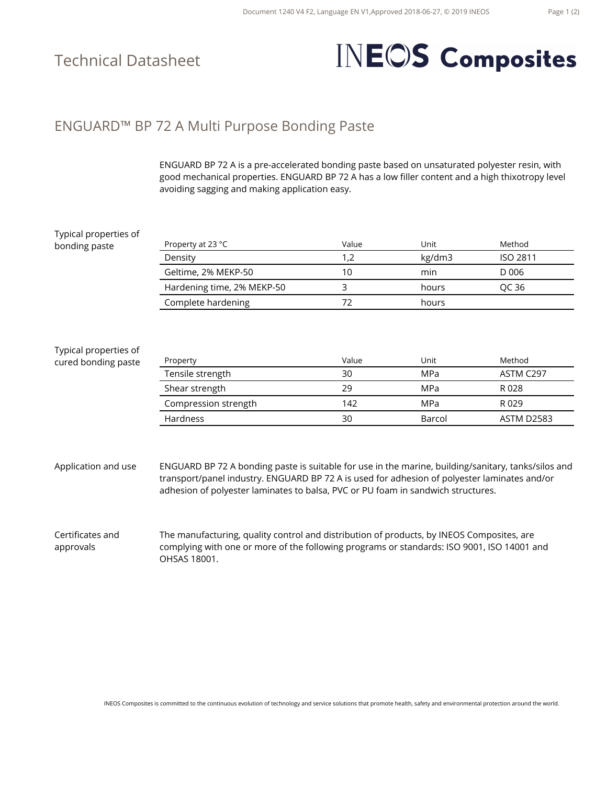### Technical Datasheet

# **INEOS** Composites

#### ENGUARD™ BP 72 A Multi Purpose Bonding Paste

ENGUARD BP 72 A is a pre-accelerated bonding paste based on unsaturated polyester resin, with good mechanical properties. ENGUARD BP 72 A has a low filler content and a high thixotropy level avoiding sagging and making application easy.

| Typical properties of         |                                                                                                                                                                                                                                                                                         |       |            |                   |  |
|-------------------------------|-----------------------------------------------------------------------------------------------------------------------------------------------------------------------------------------------------------------------------------------------------------------------------------------|-------|------------|-------------------|--|
| bonding paste                 | Property at 23 °C                                                                                                                                                                                                                                                                       | Value | Unit       | Method            |  |
|                               | Density                                                                                                                                                                                                                                                                                 | 1,2   | kg/dm3     | <b>ISO 2811</b>   |  |
|                               | Geltime, 2% MEKP-50                                                                                                                                                                                                                                                                     | 10    | min        | D 006             |  |
|                               | Hardening time, 2% MEKP-50                                                                                                                                                                                                                                                              | 3     | hours      | QC 36             |  |
|                               | Complete hardening                                                                                                                                                                                                                                                                      | 72    | hours      |                   |  |
|                               |                                                                                                                                                                                                                                                                                         |       |            |                   |  |
| Typical properties of         |                                                                                                                                                                                                                                                                                         |       |            |                   |  |
| cured bonding paste           | Property                                                                                                                                                                                                                                                                                | Value | Unit       | Method            |  |
|                               | Tensile strength                                                                                                                                                                                                                                                                        | 30    | <b>MPa</b> | ASTM C297         |  |
|                               | Shear strength                                                                                                                                                                                                                                                                          | 29    | <b>MPa</b> | R 028             |  |
|                               | Compression strength                                                                                                                                                                                                                                                                    | 142   | <b>MPa</b> | R 029             |  |
|                               | Hardness                                                                                                                                                                                                                                                                                | 30    | Barcol     | <b>ASTM D2583</b> |  |
|                               |                                                                                                                                                                                                                                                                                         |       |            |                   |  |
|                               |                                                                                                                                                                                                                                                                                         |       |            |                   |  |
| Application and use           | ENGUARD BP 72 A bonding paste is suitable for use in the marine, building/sanitary, tanks/silos and<br>transport/panel industry. ENGUARD BP 72 A is used for adhesion of polyester laminates and/or<br>adhesion of polyester laminates to balsa, PVC or PU foam in sandwich structures. |       |            |                   |  |
|                               |                                                                                                                                                                                                                                                                                         |       |            |                   |  |
| Certificates and<br>approvals | The manufacturing, quality control and distribution of products, by INEOS Composites, are<br>complying with one or more of the following programs or standards: ISO 9001, ISO 14001 and<br>OHSAS 18001.                                                                                 |       |            |                   |  |